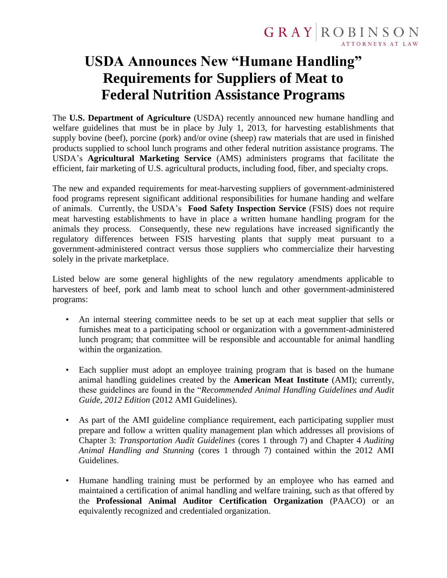## **USDA Announces New "Humane Handling" Requirements for Suppliers of Meat to Federal Nutrition Assistance Programs**

The **U.S. Department of Agriculture** (USDA) recently announced new humane handling and welfare guidelines that must be in place by July 1, 2013, for harvesting establishments that supply bovine (beef), porcine (pork) and/or ovine (sheep) raw materials that are used in finished products supplied to school lunch programs and other federal nutrition assistance programs. The USDA's **Agricultural Marketing Service** (AMS) administers programs that facilitate the efficient, fair marketing of U.S. agricultural products, including food, fiber, and specialty crops.

The new and expanded requirements for meat-harvesting suppliers of government-administered food programs represent significant additional responsibilities for humane handing and welfare of animals. Currently, the USDA's **Food Safety Inspection Service** (FSIS) does not require meat harvesting establishments to have in place a written humane handling program for the animals they process. Consequently, these new regulations have increased significantly the regulatory differences between FSIS harvesting plants that supply meat pursuant to a government-administered contract versus those suppliers who commercialize their harvesting solely in the private marketplace.

Listed below are some general highlights of the new regulatory amendments applicable to harvesters of beef, pork and lamb meat to school lunch and other government-administered programs:

- An internal steering committee needs to be set up at each meat supplier that sells or furnishes meat to a participating school or organization with a government-administered lunch program; that committee will be responsible and accountable for animal handling within the organization.
- Each supplier must adopt an employee training program that is based on the humane animal handling guidelines created by the **American Meat Institute** (AMI); currently, these guidelines are found in the "*Recommended Animal Handling Guidelines and Audit Guide, 2012 Edition* (2012 AMI Guidelines).
- As part of the AMI guideline compliance requirement, each participating supplier must prepare and follow a written quality management plan which addresses all provisions of Chapter 3: *Transportation Audit Guidelines* (cores 1 through 7) and Chapter 4 *Auditing Animal Handling and Stunning* (cores 1 through 7) contained within the 2012 AMI Guidelines.
- Humane handling training must be performed by an employee who has earned and maintained a certification of animal handling and welfare training, such as that offered by the **Professional Animal Auditor Certification Organization** (PAACO) or an equivalently recognized and credentialed organization.